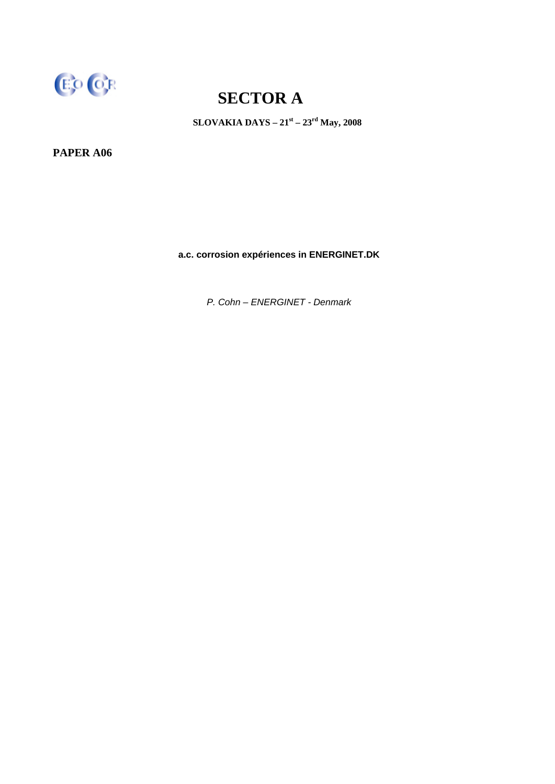

**SLOVAKIA DAYS – 21st – 23rd May, 2008** 

**PAPER A06** 

**a.c. corrosion expériences in ENERGINET.DK** 

*P. Cohn – ENERGINET - Denmark*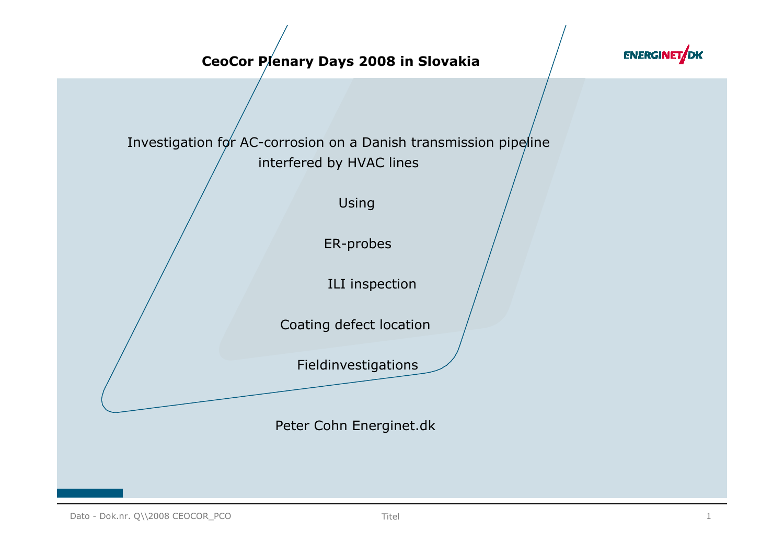#### CeoCor Plenary Days 2008 in Slovakia



Investigation for AC-corrosion on a Danish transmission pipeline interfered by HVAC lines

Using

ER-probes

ILI inspection

Coating defect location

Fieldinvestigations

Peter Cohn Energinet.dk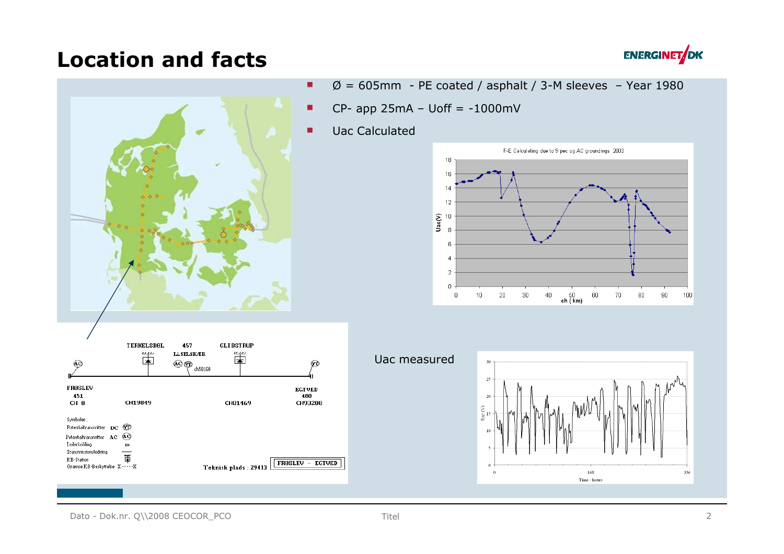#### Location and facts





- $\varnothing$  = 605mm PE coated / asphalt / 3-M sleeves Year 1980
- $CP$  app 25mA Uoff = -1000mV  $\blacksquare$
- Uac Calculated  $\blacksquare$





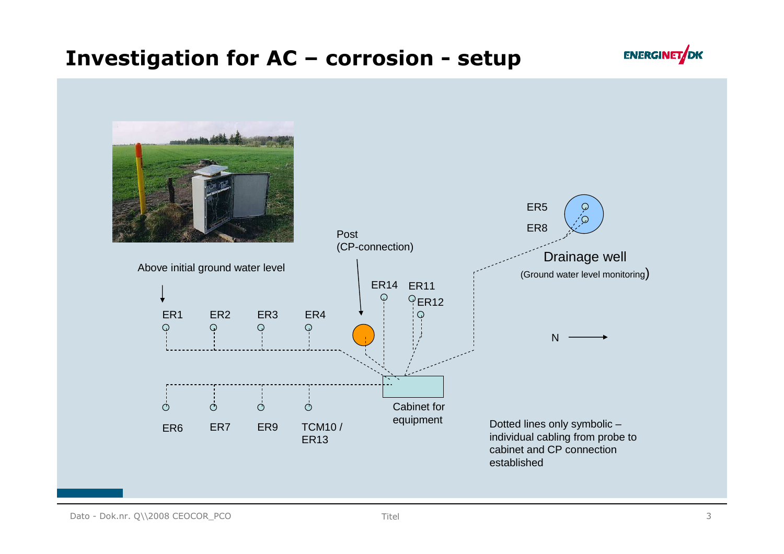#### Investigation for AC – corrosion - setup



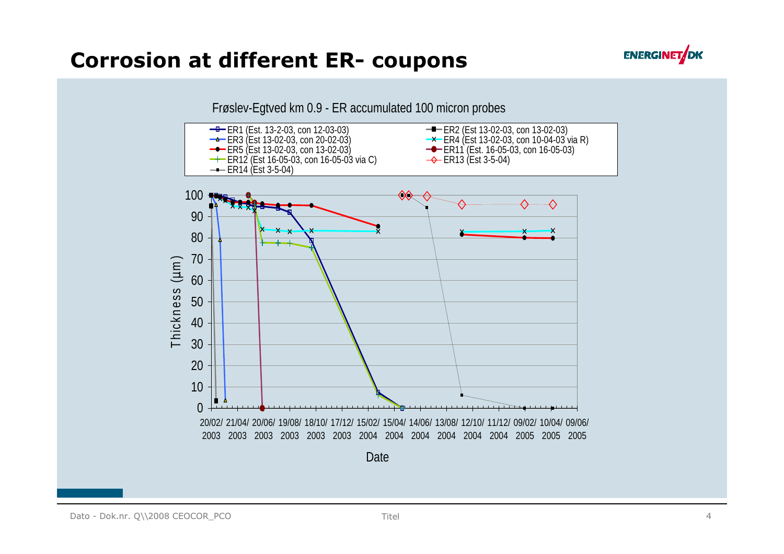#### Corrosion at different ER- coupons



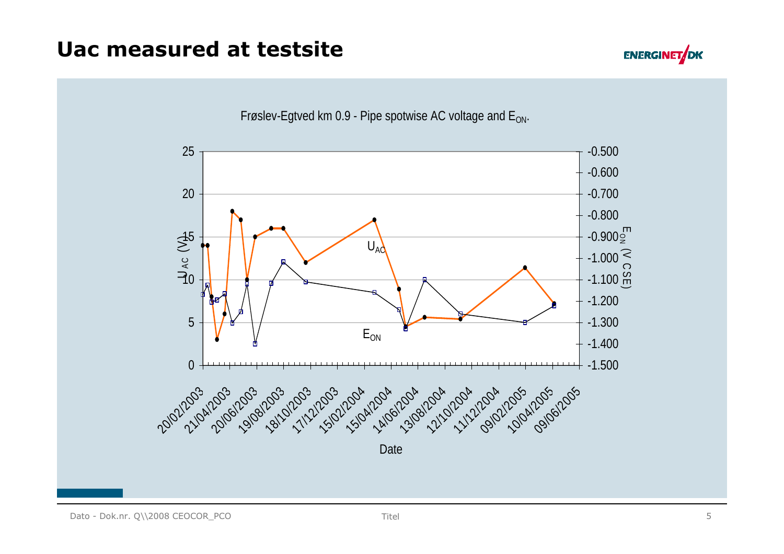### Uac measured at testsite





Frøslev-Egtved km 0.9 - Pipe spotwise AC voltage and  $E_{ON}$ .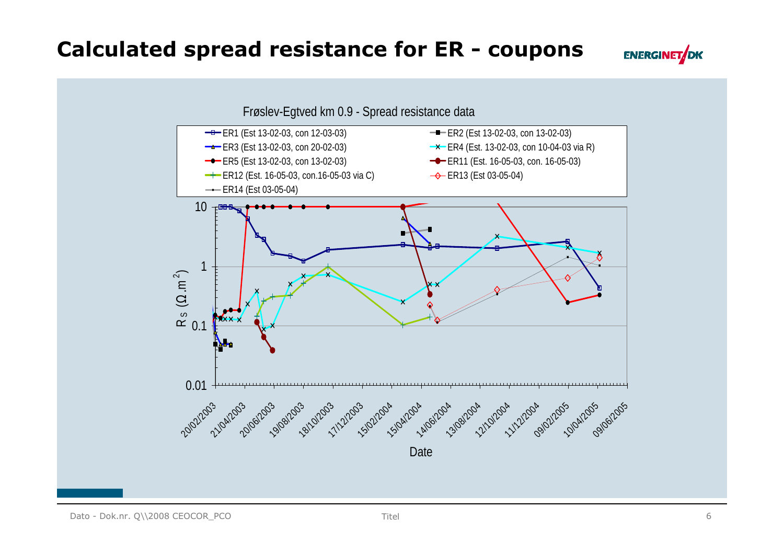#### Calculated spread resistance for ER - coupons



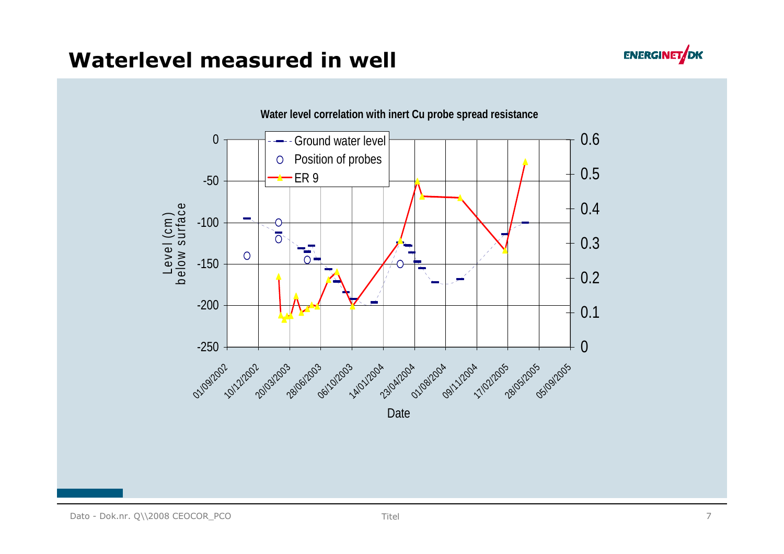

### Waterlevel measured in well

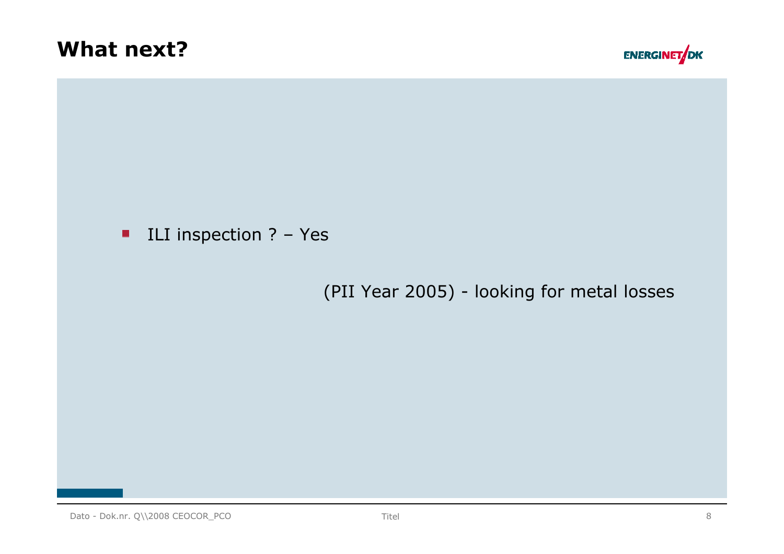



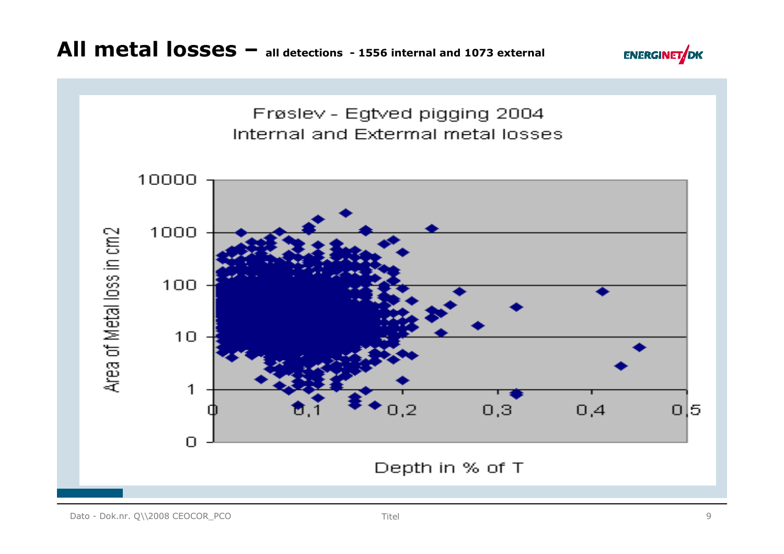

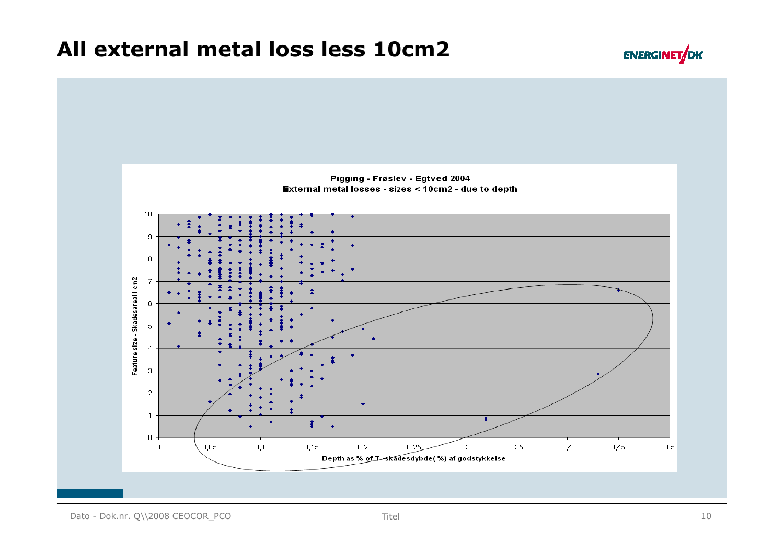#### All external metal loss less 10cm2



**ENERGINET**OK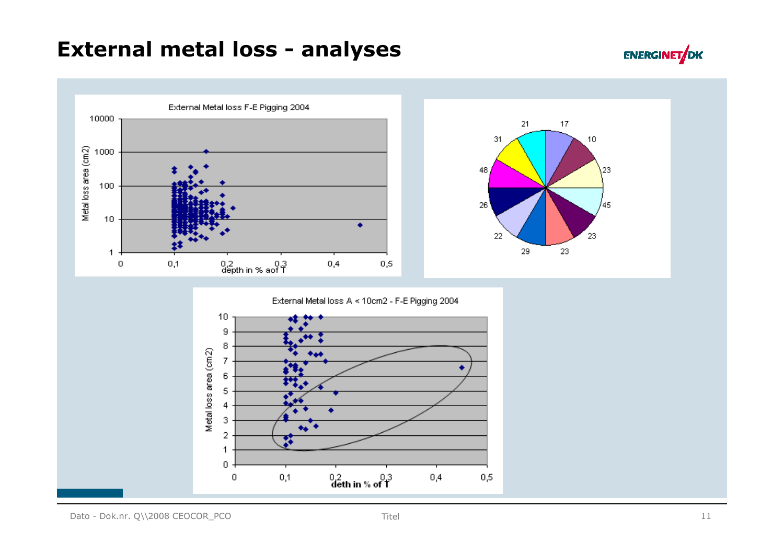#### External metal loss - analyses



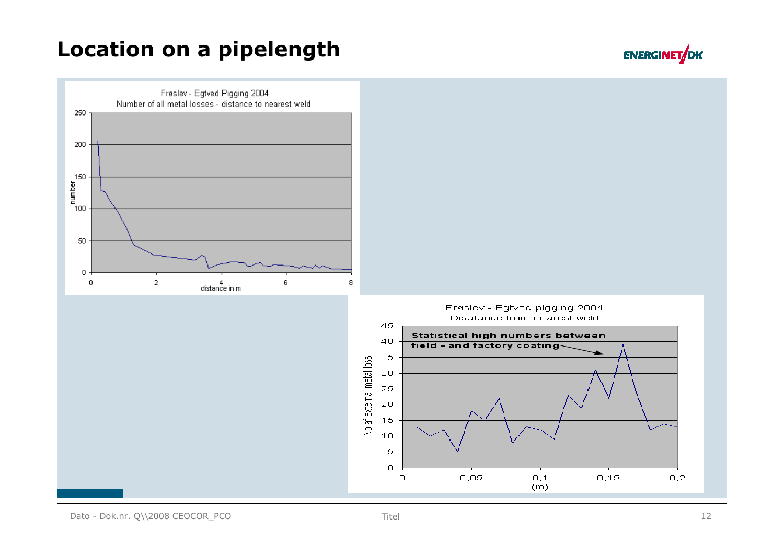### Location on a pipelength



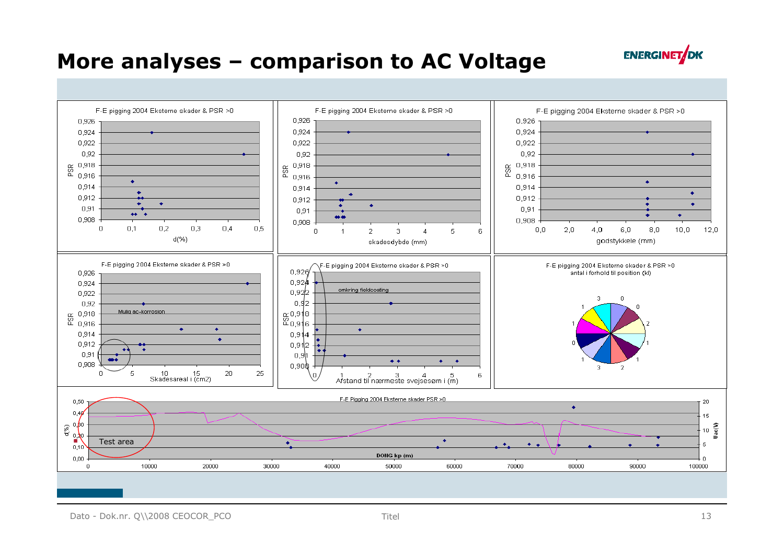#### More analyses – comparison to AC Voltage



Dato - Dok.nr. Q\\2008 CEOCOR\_PCO Titel 13

**ENERGINET**JDK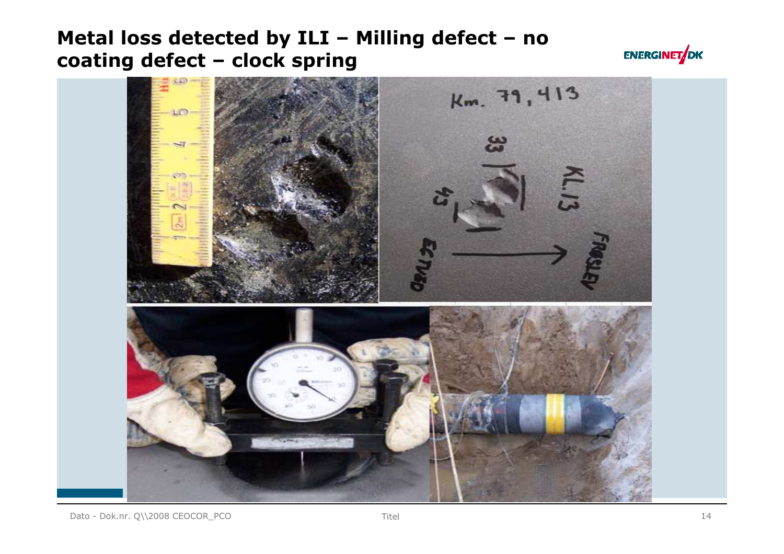#### Metal loss detected by ILI – Milling defect – no coating defect – clock spring



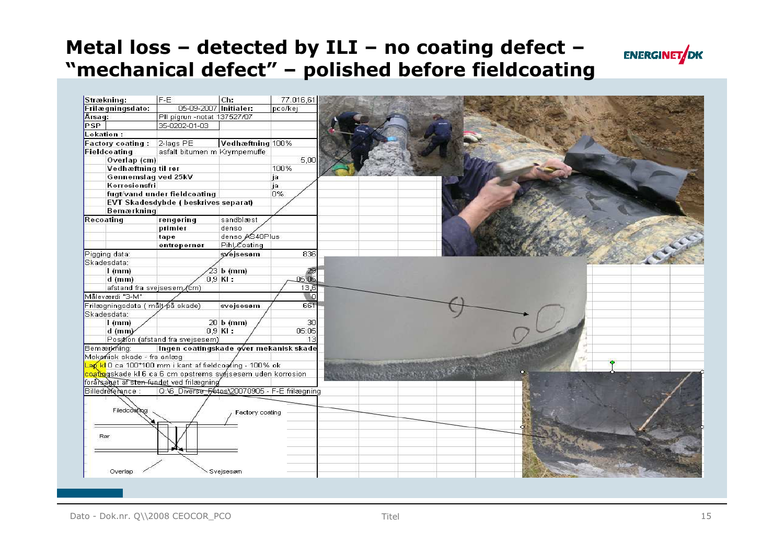# Metal loss – detected by ILI – no coating defect –



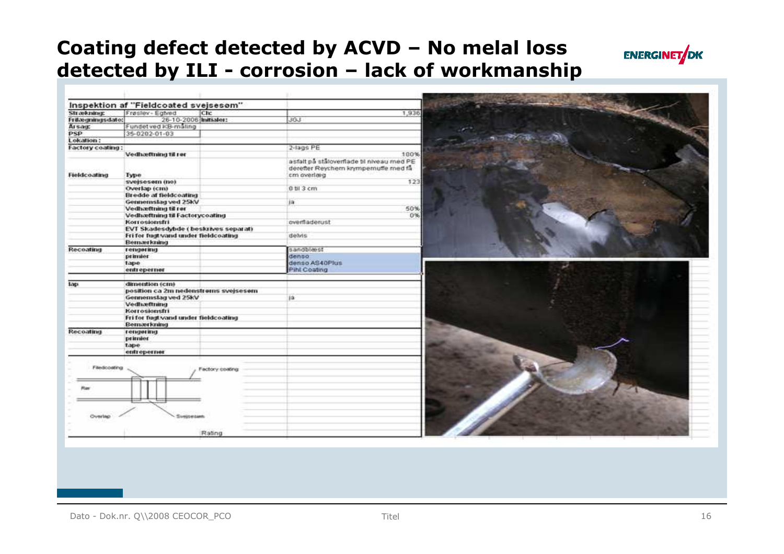#### Coating defect detected by ACVD – No melal loss detected by ILI - corrosion – lack of workmanship



| Strækning:       | Inspektion af "Fieldcoated svejsesom"<br>Frøsley - Eghed                                  | Chc             | 1,936                                                                                            |  |
|------------------|-------------------------------------------------------------------------------------------|-----------------|--------------------------------------------------------------------------------------------------|--|
| Frilægningsdate: | 26-10-2006 Initialer:                                                                     |                 | <b>JOU</b>                                                                                       |  |
| Arsauc           | Fundet ved KB-maling                                                                      |                 |                                                                                                  |  |
| <b>PSP</b>       | 35-0202-01-03                                                                             |                 |                                                                                                  |  |
| Lokation:        |                                                                                           |                 |                                                                                                  |  |
| Factory coating: |                                                                                           |                 | 2-lags PE                                                                                        |  |
|                  | Vedhæftning til rør                                                                       |                 | 100%                                                                                             |  |
| Fieldcoating     | <b>Type</b>                                                                               |                 | asfalt på ståloverflade til niveau med PE<br>derefter Reychem krympernuffe med få<br>cm overlarg |  |
|                  | svejsesom (no)                                                                            |                 | 123                                                                                              |  |
|                  | Overlap (cm)                                                                              |                 | 0 til 3 cm                                                                                       |  |
|                  | Bredde af fieldcoating                                                                    |                 |                                                                                                  |  |
|                  | Gennemslag ved 25kV                                                                       |                 | ia.                                                                                              |  |
|                  | Vedhæftning til rør                                                                       |                 | 50%                                                                                              |  |
|                  | Vedhæftning til Factorycoating                                                            |                 | 0%                                                                                               |  |
|                  | Korrosionsfri                                                                             |                 | overfladerust                                                                                    |  |
|                  | EVT Skadesdybde (beskrives separat)<br>Fri for fugt wand under fieldcoating<br>Bemærkning |                 | delvis                                                                                           |  |
| Recoating        | rengering                                                                                 |                 | sandbleest                                                                                       |  |
|                  | primier                                                                                   |                 | denso.                                                                                           |  |
|                  | tape                                                                                      |                 | denso AS40Plus                                                                                   |  |
|                  | entreperner                                                                               |                 | Pihl Coating                                                                                     |  |
| tap.             | dimention (cm)                                                                            |                 |                                                                                                  |  |
|                  | position ca 2m nedenstroms svejsesom                                                      |                 |                                                                                                  |  |
|                  | Gennemslag ved 25kV                                                                       |                 | 10                                                                                               |  |
|                  | Vedhæftning                                                                               |                 |                                                                                                  |  |
|                  | Korrosionsfri                                                                             |                 |                                                                                                  |  |
|                  | Fri for fugt vand under fieldcoating                                                      |                 |                                                                                                  |  |
|                  | Bemærkning                                                                                |                 |                                                                                                  |  |
| Recoating        | rengering                                                                                 |                 |                                                                                                  |  |
|                  | primier                                                                                   |                 |                                                                                                  |  |
|                  | tape                                                                                      |                 |                                                                                                  |  |
|                  | entreperner                                                                               |                 |                                                                                                  |  |
| Filedcoating     |                                                                                           | Factory coating |                                                                                                  |  |
|                  |                                                                                           |                 |                                                                                                  |  |
|                  | Siveisesanti                                                                              |                 |                                                                                                  |  |
|                  |                                                                                           | Rating          |                                                                                                  |  |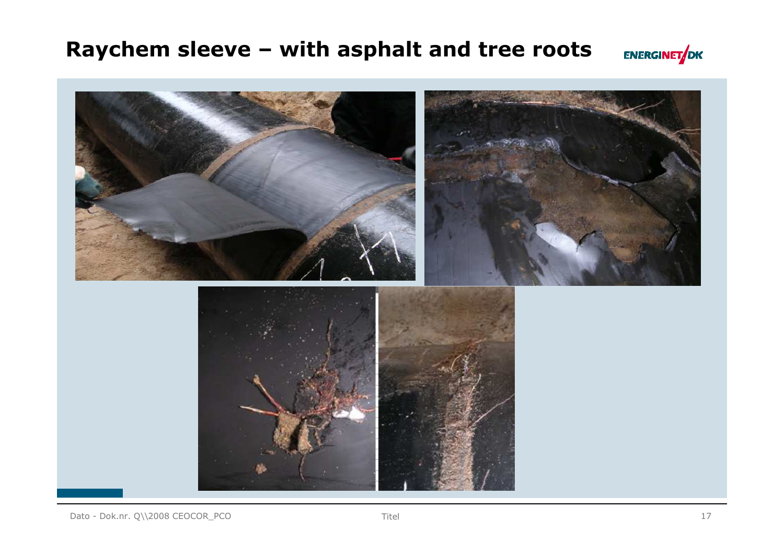#### Raychem sleeve – with asphalt and tree roots



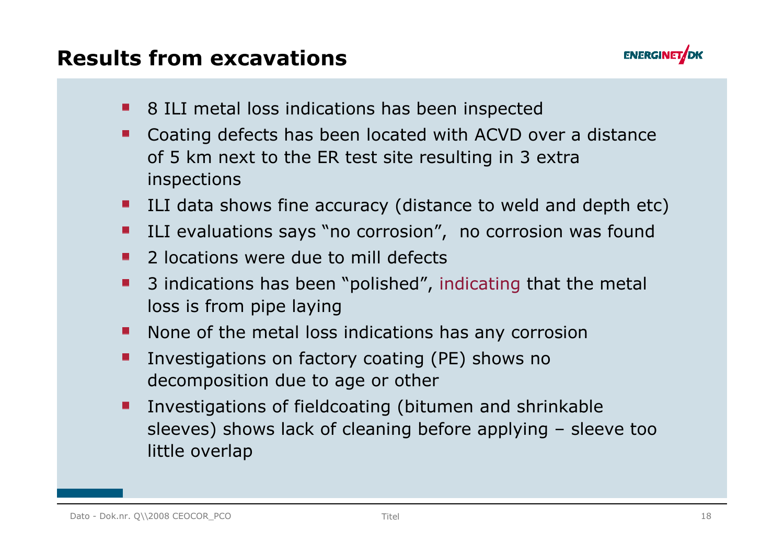



- **8 ILI metal loss indications has been inspected**
- Coating defects has been located with ACVD over a distance  $\blacksquare$ of 5 km next to the ER test site resulting in 3 extra inspections
- **ILI data shows fine accuracy (distance to weld and depth etc)**
- **ILI** evaluations says "no corrosion", no corrosion was found
- 2 locations were due to mill defects $\mathbf{r}$
- 3 indications has been "polished", indicating that the metal loss is from pipe laying
- None of the metal loss indications has any corrosion
- Investigations on factory coating (PE) shows no decomposition due to age or other
- Investigations of fieldcoating (bitumen and shrinkable sleeves) shows lack of cleaning before applying – sleeve too little overlap